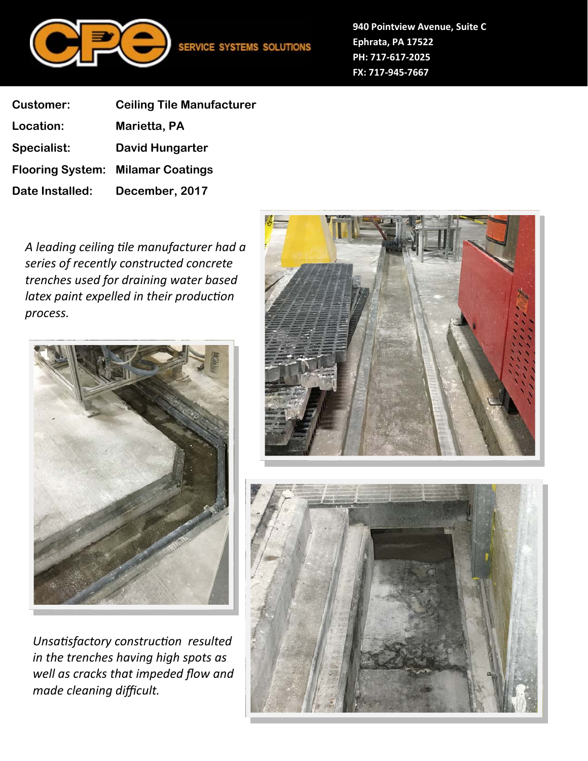

**940 Pointview Avenue, Suite C Ephrata, PA 17522 PH: 717‐617‐2025 FX: 717‐945‐7667**

| <b>Customer:</b> | <b>Ceiling Tile Manufacturer</b>         |
|------------------|------------------------------------------|
| Location:        | Marietta, PA                             |
| Specialist:      | <b>David Hungarter</b>                   |
|                  | <b>Flooring System: Milamar Coatings</b> |
| Date Installed:  | December, 2017                           |

*A leading ceiling Ɵle manufacturer had a series of recently constructed concrete trenches used for draining water based latex paint expelled in their production process.* 



*UnsaƟsfactory construcƟon resulted in the trenches having high spots as well as cracks that impeded flow and made cleaning difficult.* 



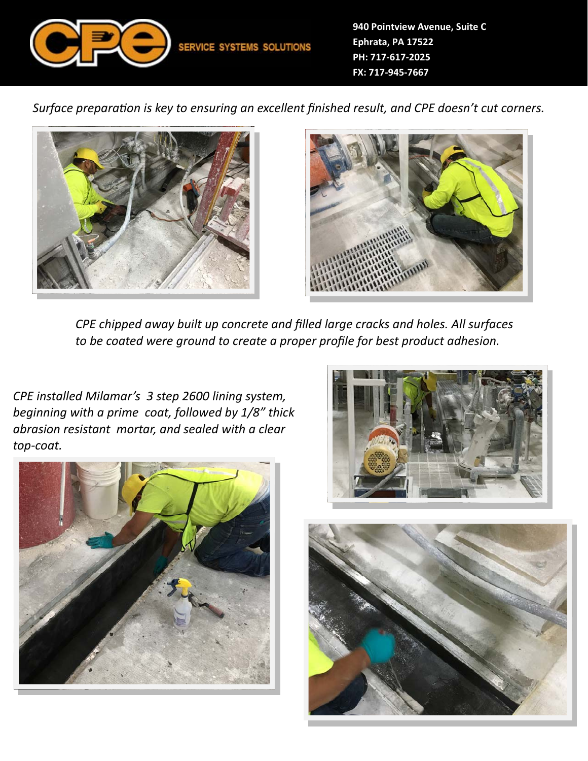

*Surface preparation is key to ensuring an excellent finished result, and CPE doesn't cut corners.* 





*CPE chipped away built up concrete and filled large cracks and holes. All surfaces to be coated were ground to create a proper profile for best product adhesion.* 

*CPE installed Milamar's 3 step 2600 lining system, beginning with a prime coat, followed by 1/8" thick abrasion resistant mortar, and sealed with a clear top‐coat.*